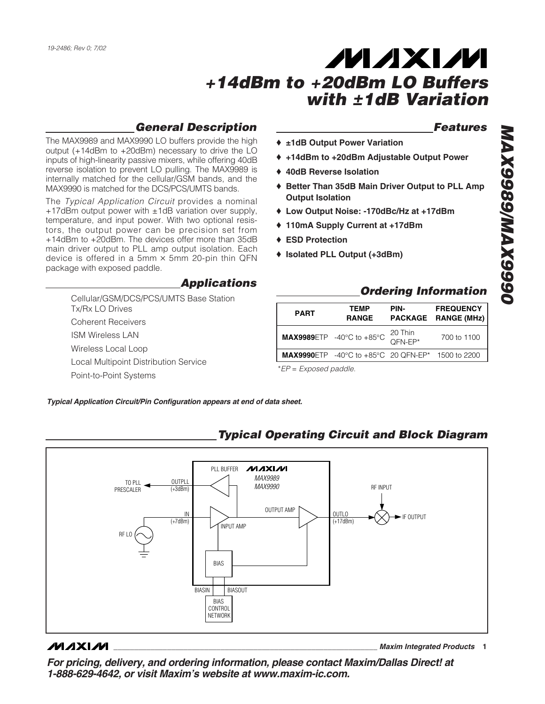#### *General Description*

The MAX9989 and MAX9990 LO buffers provide the high output (+14dBm to +20dBm) necessary to drive the LO inputs of high-linearity passive mixers, while offering 40dB reverse isolation to prevent LO pulling. The MAX9989 is internally matched for the cellular/GSM bands, and the MAX9990 is matched for the DCS/PCS/UMTS bands.

The *Typical Application Circuit* provides a nominal +17dBm output power with  $\pm$ 1dB variation over supply, temperature, and input power. With two optional resistors, the output power can be precision set from +14dBm to +20dBm. The devices offer more than 35dB main driver output to PLL amp output isolation. Each device is offered in a 5mm  $\times$  5mm 20-pin thin QFN package with exposed paddle.

#### *Applications*

Cellular/GSM/DCS/PCS/UMTS Base Station Tx/Rx LO Drives Coherent Receivers ISM Wireless LAN Wireless Local Loop Local Multipoint Distribution Service Point-to-Point Systems

#### *Features*

- ♦ **±1dB Output Power Variation**
- ♦ **+14dBm to +20dBm Adjustable Output Power**
- ♦ **40dB Reverse Isolation**
- ♦ **Better Than 35dB Main Driver Output to PLL Amp Output Isolation**
- ♦ **Low Output Noise: -170dBc/Hz at +17dBm**
- ♦ **110mA Supply Current at +17dBm**
- ♦ **ESD Protection**
- ♦ **Isolated PLL Output (+3dBm)**

#### *Ordering Information*

| <b>PART</b> | <b>TEMP</b><br><b>RANGE</b>                                                   | PIN-               | <b>FREQUENCY</b><br>PACKAGE RANGE (MHz) |
|-------------|-------------------------------------------------------------------------------|--------------------|-----------------------------------------|
|             | MAX9989ETP -40°C to +85°C                                                     | 20 Thin<br>QFN-EP* | 700 to 1100                             |
|             | <b>MAX9990</b> ETP $-40^{\circ}$ C to $+85^{\circ}$ C 20 QFN-EP* 1500 to 2200 |                    |                                         |
|             |                                                                               |                    |                                         |

\**EP* = *Exposed paddle.*

*Typical Application Circuit/Pin Configuration appears at end of data sheet.*



#### **MAXIM**

**\_\_\_\_\_\_\_\_\_\_\_\_\_\_\_\_\_\_\_\_\_\_\_\_\_\_\_\_\_\_\_\_\_\_\_\_\_\_\_\_\_\_\_\_\_\_\_\_\_\_\_\_\_\_\_\_\_\_\_\_\_\_\_\_** *Maxim Integrated Products* **1**

*For pricing, delivery, and ordering information, please contact Maxim/Dallas Direct! at 1-888-629-4642, or visit Maxim's website at www.maxim-ic.com.*

## *Typical Operating Circuit and Block Diagram*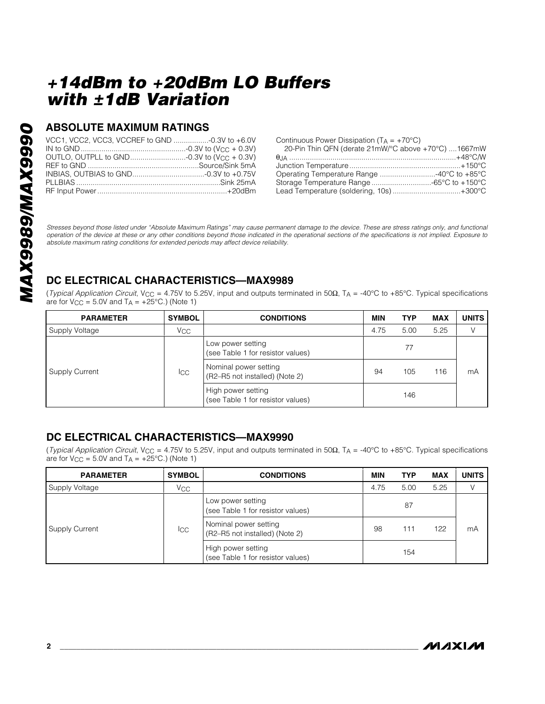#### **ABSOLUTE MAXIMUM RATINGS**

| VCC1, VCC2, VCC3, VCCREF to GND -0.3V to +6.0V |  |
|------------------------------------------------|--|
|                                                |  |
|                                                |  |
|                                                |  |
|                                                |  |
|                                                |  |
|                                                |  |

Continuous Power Dissipation ( $TA = +70^{\circ}C$ )

| 20-Pin Thin QFN (derate $21mW$ /°C above +70°C) 1667mW |
|--------------------------------------------------------|
|                                                        |
|                                                        |
|                                                        |
|                                                        |
|                                                        |
|                                                        |

*Stresses beyond those listed under "Absolute Maximum Ratings" may cause permanent damage to the device. These are stress ratings only, and functional operation of the device at these or any other conditions beyond those indicated in the operational sections of the specifications is not implied. Exposure to absolute maximum rating conditions for extended periods may affect device reliability.*

## **DC ELECTRICAL CHARACTERISTICS—MAX9989**

(*Typical Application Circuit*, V<sub>CC</sub> = 4.75V to 5.25V, input and outputs terminated in 50Ω, T<sub>A</sub> = -40°C to +85°C. Typical specifications are for  $V_{CC} = 5.0V$  and  $T_A = +25^{\circ}C$ .) (Note 1)

| <b>PARAMETER</b> | <b>SYMBOL</b> | <b>CONDITIONS</b>                                       | MIN  | <b>TYP</b> | MAX  | <b>UNITS</b> |
|------------------|---------------|---------------------------------------------------------|------|------------|------|--------------|
| Supply Voltage   | Vcc           |                                                         | 4.75 | 5.00       | 5.25 |              |
|                  |               | Low power setting<br>(see Table 1 for resistor values)  |      | 77         |      |              |
| Supply Current   | <b>I</b> CC   | Nominal power setting<br>(R2-R5 not installed) (Note 2) | 94   | 105        | 116  | mA           |
|                  |               | High power setting<br>(see Table 1 for resistor values) |      | 146        |      |              |

#### **DC ELECTRICAL CHARACTERISTICS—MAX9990**

(*Typical Application Circuit*, VCC = 4.75V to 5.25V, input and outputs terminated in 50Ω, TA = -40°C to +85°C. Typical specifications are for  $V_{CC} = 5.0V$  and  $T_A = +25°C$ .) (Note 1)

| <b>PARAMETER</b>      | <b>SYMBOL</b> | <b>CONDITIONS</b>                                       | <b>MIN</b> | <b>TYP</b> | <b>MAX</b> | <b>UNITS</b> |
|-----------------------|---------------|---------------------------------------------------------|------------|------------|------------|--------------|
| Supply Voltage        | $V_{\rm CC}$  |                                                         | 4.75       | 5.00       | 5.25       | V            |
|                       |               | Low power setting<br>(see Table 1 for resistor values)  |            | 87         |            |              |
| <b>Supply Current</b> | Icc           | Nominal power setting<br>(R2-R5 not installed) (Note 2) | 98         | 111        | 122        | mA           |
|                       |               | High power setting<br>(see Table 1 for resistor values) |            | 154        |            |              |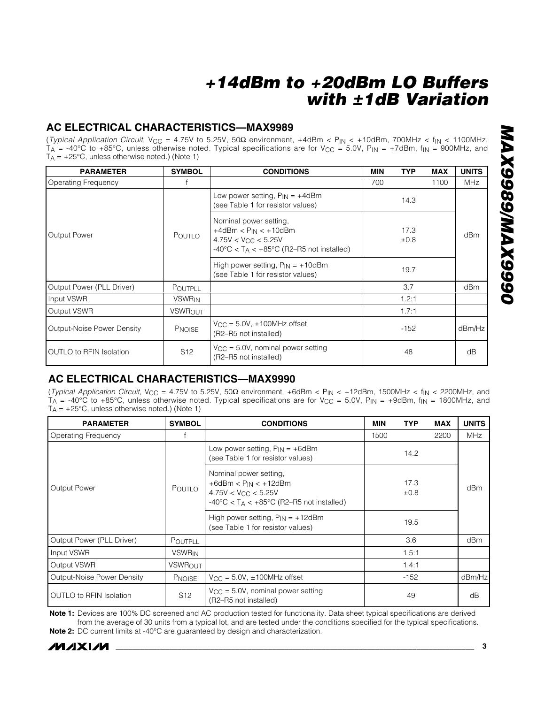#### **AC ELECTRICAL CHARACTERISTICS—MAX9989**

(*Typical Application Circuit*, VCC = 4.75V to 5.25V, 50Ω environment, +4dBm < PIN < +10dBm, 700MHz < fIN < 1100MHz,  $T_A = -40^{\circ}C$  to +85°C, unless otherwise noted. Typical specifications are for V<sub>CC</sub> = 5.0V, P<sub>IN</sub> = +7dBm, f<sub>IN</sub> = 900MHz, and  $T_A = +25^{\circ}$ C, unless otherwise noted.) (Note 1)

| <b>PARAMETER</b>               | <b>SYMBOL</b>   | <b>CONDITIONS</b>                                                                                                                                                 | MIN | <b>TYP</b>   | <b>MAX</b> | <b>UNITS</b> |
|--------------------------------|-----------------|-------------------------------------------------------------------------------------------------------------------------------------------------------------------|-----|--------------|------------|--------------|
| <b>Operating Frequency</b>     |                 |                                                                                                                                                                   | 700 |              | 1100       | MHz          |
|                                |                 | Low power setting, $P_{IN} = +4dBm$<br>(see Table 1 for resistor values)                                                                                          |     | 14.3         |            |              |
| <b>Output Power</b>            | Poutlo          | Nominal power setting,<br>$+4d$ Bm < $P_{IN}$ < $+10d$ Bm<br>$4.75V < V_{CC} < 5.25V$<br>$-40^{\circ}$ C < T <sub>A</sub> < $+85^{\circ}$ C (R2–R5 not installed) |     | 17.3<br>±0.8 |            | dBm          |
|                                |                 | High power setting, $P_{IN} = +10dBm$<br>(see Table 1 for resistor values)                                                                                        |     | 19.7         |            |              |
| Output Power (PLL Driver)      | <b>POUTPLL</b>  |                                                                                                                                                                   |     | 3.7          |            | dBm          |
| Input VSWR                     | <b>VSWRIN</b>   |                                                                                                                                                                   |     | 1.2:1        |            |              |
| Output VSWR                    | <b>VSWROUT</b>  |                                                                                                                                                                   |     | 1.7:1        |            |              |
| Output-Noise Power Density     | <b>PNOISE</b>   | $V_{\rm CC}$ = 5.0V, $\pm$ 100MHz offset<br>(R2-R5 not installed)                                                                                                 |     | -152         |            | dBm/Hz       |
| <b>OUTLO to RFIN Isolation</b> | S <sub>12</sub> | $V_{CC} = 5.0V$ , nominal power setting<br>(R2-R5 not installed)                                                                                                  |     | 48           |            | dB           |

## **AC ELECTRICAL CHARACTERISTICS—MAX9990**

(*Typical Application Circuit*, VCC = 4.75V to 5.25V, 50Ω environment, +6dBm < PIN < +12dBm, 1500MHz < fIN < 2200MHz, and  $T_A$  = -40°C to +85°C, unless otherwise noted. Typical specifications are for V<sub>CC</sub> = 5.0V, P<sub>IN</sub> = +9dBm, f<sub>IN</sub> = 1800MHz, and  $T_A = +25^{\circ}C$ , unless otherwise noted.) (Note 1)

| <b>PARAMETER</b>               | <b>SYMBOL</b>   | <b>CONDITIONS</b>                                                                                                                                                 | <b>MIN</b> | <b>TYP</b>   | <b>MAX</b> | <b>UNITS</b> |
|--------------------------------|-----------------|-------------------------------------------------------------------------------------------------------------------------------------------------------------------|------------|--------------|------------|--------------|
| <b>Operating Frequency</b>     |                 |                                                                                                                                                                   | 1500       |              | 2200       | <b>MHz</b>   |
|                                |                 | Low power setting, $P_{IN} = +6dBm$<br>(see Table 1 for resistor values)                                                                                          |            | 14.2         |            |              |
| <b>Output Power</b>            | POUTLO          | Nominal power setting,<br>$+6d$ Bm < $P_{IN}$ < $+12d$ Bm<br>$4.75V < V_{CC} < 5.25V$<br>$-40^{\circ}$ C < T <sub>A</sub> < $+85^{\circ}$ C (R2–R5 not installed) |            | 17.3<br>±0.8 |            | dBm          |
|                                |                 | High power setting, $P_{IN} = +12d$ Bm<br>(see Table 1 for resistor values)                                                                                       |            | 19.5         |            |              |
| Output Power (PLL Driver)      | POUTPLL         |                                                                                                                                                                   |            | 3.6          |            | dBm          |
| Input VSWR                     | <b>VSWRIN</b>   |                                                                                                                                                                   |            | 1.5:1        |            |              |
| Output VSWR                    | <b>VSWROUT</b>  |                                                                                                                                                                   |            | 1.4:1        |            |              |
| Output-Noise Power Density     | <b>PNOISE</b>   | $V_{CC} = 5.0V$ , $\pm 100MHz$ offset                                                                                                                             |            | $-152$       |            | dBm/Hz       |
| <b>OUTLO to RFIN Isolation</b> | S <sub>12</sub> | $V_{CC} = 5.0V$ , nominal power setting<br>(R2-R5 not installed)                                                                                                  |            | 49           |            | dB           |

**Note 1:** Devices are 100% DC screened and AC production tested for functionality. Data sheet typical specifications are derived from the average of 30 units from a typical lot, and are tested under the conditions specified for the typical specifications. **Note 2:** DC current limits at -40°C are guaranteed by design and characterization.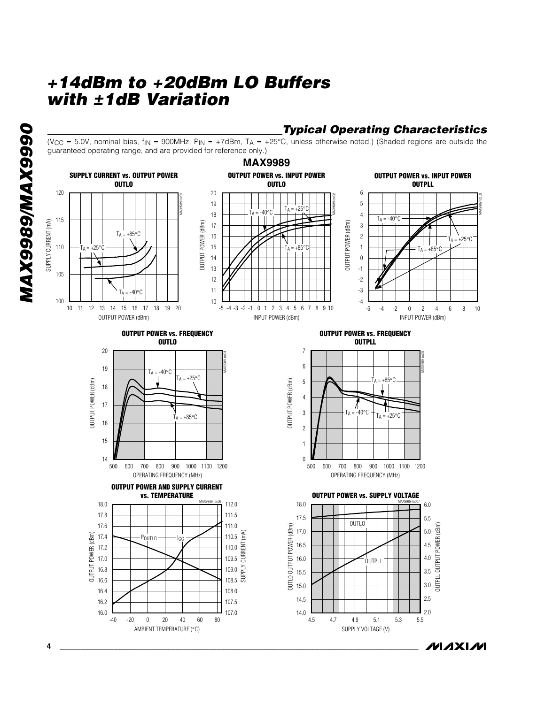## *Typical Operating Characteristics*

(V<sub>CC</sub> = 5.0V, nominal bias,  $f_{IN}$  = 900MHz,  $P_{IN}$  = +7dBm,  $T_A$  = +25°C, unless otherwise noted.) (Shaded regions are outside the guaranteed operating range, and are provided for reference only.)

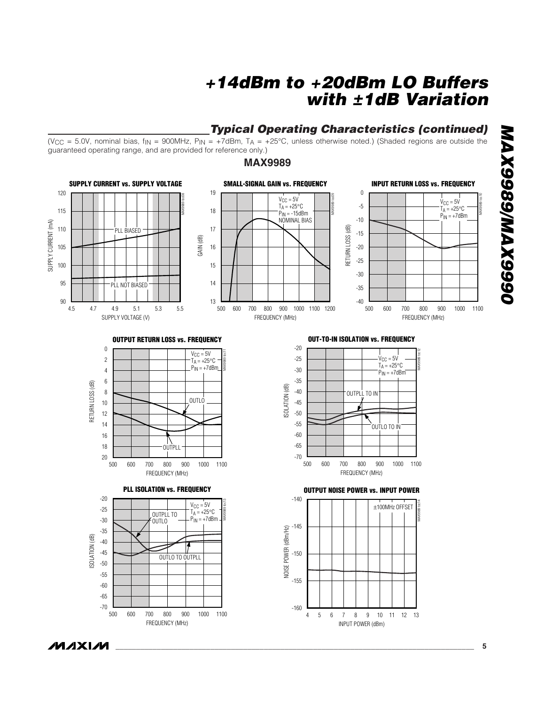#### *Typical Operating Characteristics (continued)*

(V<sub>CC</sub> = 5.0V, nominal bias,  $f_{IN}$  = 900MHz,  $P_{IN}$  = +7dBm,  $T_A$  = +25°C, unless otherwise noted.) (Shaded regions are outside the guaranteed operating range, and are provided for reference only.)

#### **MAX9989**



# 0666XVW/6866XVW *MAX9989/MAX9990*

**MAXIM**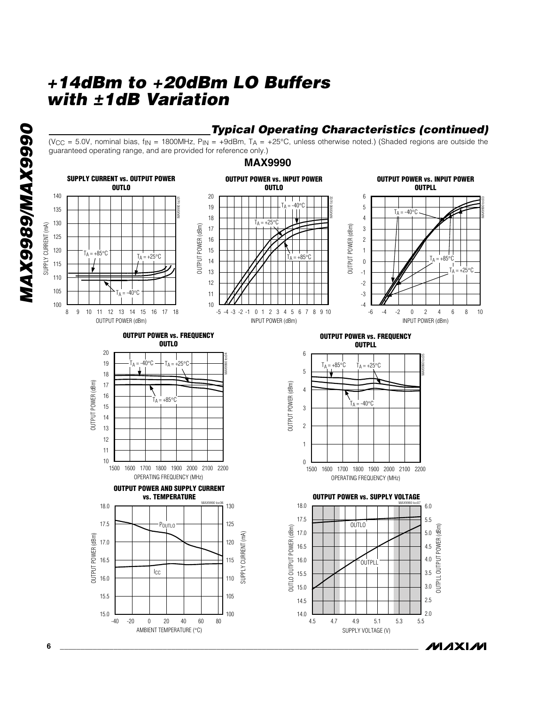

#### *Typical Operating Characteristics (continued)*

(V<sub>CC</sub> = 5.0V, nominal bias,  $f_{IN}$  = 1800MHz,  $P_{IN}$  = +9dBm,  $T_A$  = +25°C, unless otherwise noted.) (Shaded regions are outside the guaranteed operating range, and are provided for reference only.)

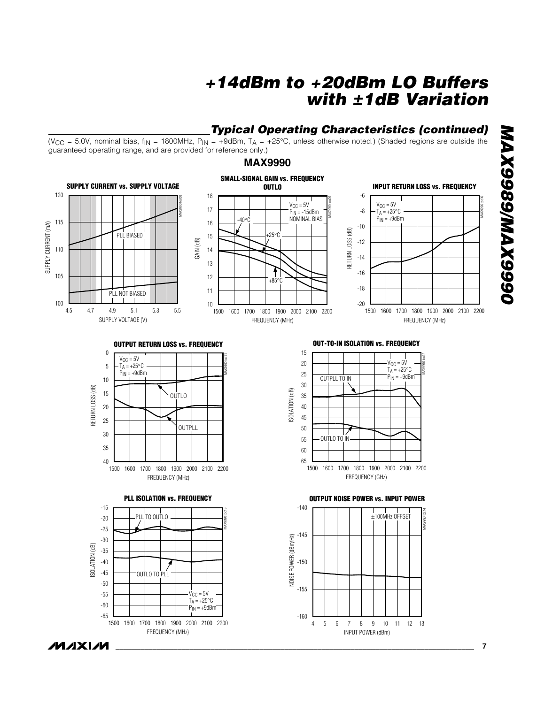#### *Typical Operating Characteristics (continued)*

INPUT POWER (dBm)

(V<sub>CC</sub> = 5.0V, nominal bias,  $f_{\text{IN}}$  = 1800MHz,  $P_{\text{IN}}$  = +9dBm,  $T_A$  = +25°C, unless otherwise noted.) (Shaded regions are outside the guaranteed operating range, and are provided for reference only.)

#### **MAX9990**



**MAXM** 

FREQUENCY (MHz)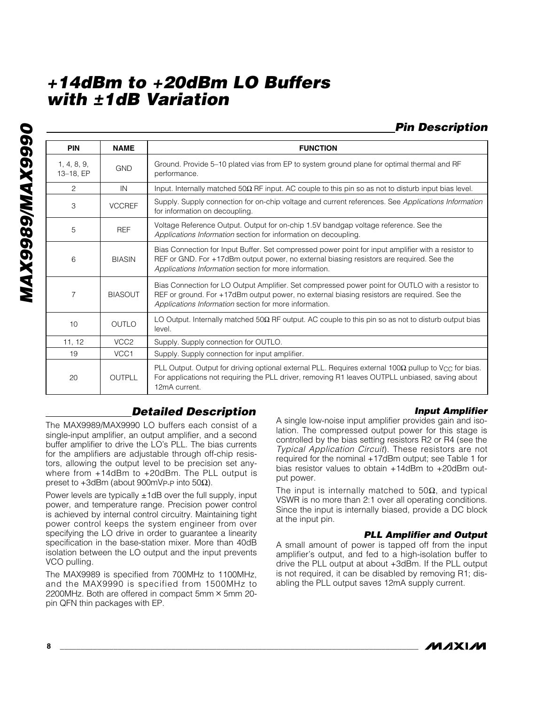## *Pin Description*

| <b>PIN</b>               | <b>NAME</b>      | <b>FUNCTION</b>                                                                                                                                                                                                                                           |
|--------------------------|------------------|-----------------------------------------------------------------------------------------------------------------------------------------------------------------------------------------------------------------------------------------------------------|
| 1, 4, 8, 9,<br>13-18, EP | <b>GND</b>       | Ground. Provide 5–10 plated vias from EP to system ground plane for optimal thermal and RF<br>performance.                                                                                                                                                |
| $\overline{c}$           | IN               | Input. Internally matched $50\Omega$ RF input. AC couple to this pin so as not to disturb input bias level.                                                                                                                                               |
| 3                        | <b>VCCREF</b>    | Supply. Supply connection for on-chip voltage and current references. See Applications Information<br>for information on decoupling.                                                                                                                      |
| 5                        | <b>REF</b>       | Voltage Reference Output. Output for on-chip 1.5V bandgap voltage reference. See the<br>Applications Information section for information on decoupling.                                                                                                   |
| 6                        | <b>BIASIN</b>    | Bias Connection for Input Buffer. Set compressed power point for input amplifier with a resistor to<br>REF or GND. For +17dBm output power, no external biasing resistors are required. See the<br>Applications Information section for more information. |
| $\overline{7}$           | <b>BIASOUT</b>   | Bias Connection for LO Output Amplifier. Set compressed power point for OUTLO with a resistor to<br>REF or ground. For +17dBm output power, no external biasing resistors are required. See the<br>Applications Information section for more information. |
| 10                       | <b>OUTLO</b>     | LO Output. Internally matched $50\Omega$ RF output. AC couple to this pin so as not to disturb output bias<br>level.                                                                                                                                      |
| 11, 12                   | VCC <sub>2</sub> | Supply. Supply connection for OUTLO.                                                                                                                                                                                                                      |
| 19                       | VCC1             | Supply. Supply connection for input amplifier.                                                                                                                                                                                                            |
| 20                       | OUTPLL           | PLL Output. Output for driving optional external PLL. Requires external 100 $\Omega$ pullup to V <sub>CC</sub> for bias.<br>For applications not requiring the PLL driver, removing R1 leaves OUTPLL unbiased, saving about<br>12mA current.              |

## *Detailed Description*

The MAX9989/MAX9990 LO buffers each consist of a single-input amplifier, an output amplifier, and a second buffer amplifier to drive the LO's PLL. The bias currents for the amplifiers are adjustable through off-chip resistors, allowing the output level to be precision set anywhere from +14dBm to +20dBm. The PLL output is preset to +3dBm (about 900mV<sub>P-P</sub> into 50Ω).

Power levels are typically  $\pm$ 1dB over the full supply, input power, and temperature range. Precision power control is achieved by internal control circuitry. Maintaining tight power control keeps the system engineer from over specifying the LO drive in order to guarantee a linearity specification in the base-station mixer. More than 40dB isolation between the LO output and the input prevents VCO pulling.

The MAX9989 is specified from 700MHz to 1100MHz, and the MAX9990 is specified from 1500MHz to 2200MHz. Both are offered in compact 5mm  $\times$  5mm 20pin QFN thin packages with EP.

#### *Input Amplifier* A single low-noise input amplifier provides gain and iso-

lation. The compressed output power for this stage is controlled by the bias setting resistors R2 or R4 (see the *Typical Application Circuit*). These resistors are not required for the nominal +17dBm output; see Table 1 for bias resistor values to obtain +14dBm to +20dBm output power.

The input is internally matched to  $50\Omega$ , and typical VSWR is no more than 2:1 over all operating conditions. Since the input is internally biased, provide a DC block at the input pin.

#### *PLL Amplifier and Output*

A small amount of power is tapped off from the input amplifier's output, and fed to a high-isolation buffer to drive the PLL output at about +3dBm. If the PLL output is not required, it can be disabled by removing R1; disabling the PLL output saves 12mA supply current.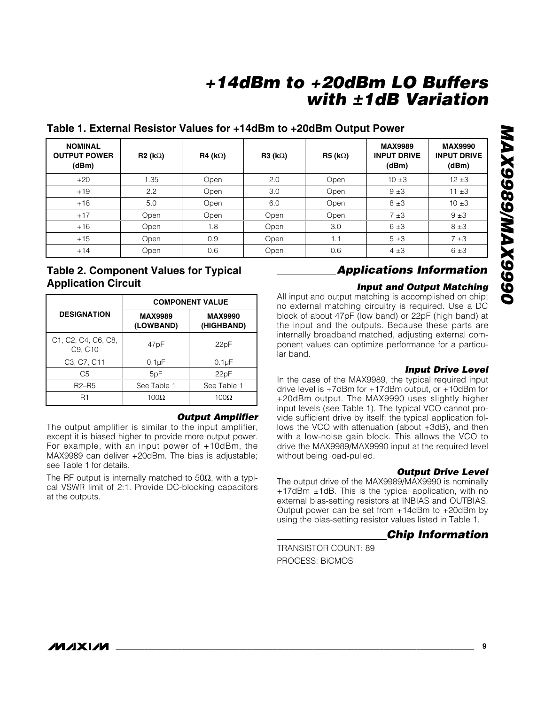| Table 1. External Resistor Values for +14dBm to +20dBm Output Power |
|---------------------------------------------------------------------|
|---------------------------------------------------------------------|

| <b>NOMINAL</b><br><b>OUTPUT POWER</b><br>(dBm) | $R2 (k\Omega)$ | $R4 (k\Omega)$ | R3 (k $\Omega$ ) | $R5$ (k $\Omega$ ) | <b>MAX9989</b><br><b>INPUT DRIVE</b><br>(dBm) | <b>MAX9990</b><br><b>INPUT DRIVE</b><br>(dBm) |
|------------------------------------------------|----------------|----------------|------------------|--------------------|-----------------------------------------------|-----------------------------------------------|
| $+20$                                          | 1.35           | Open           | 2.0              | Open               | $10 \pm 3$                                    | $12 + 3$                                      |
| $+19$                                          | 2.2            | Open           | 3.0              | Open               | 9±3                                           | $11 \pm 3$                                    |
| $+18$                                          | 5.0            | Open           | 6.0              | Open               | 8±3                                           | $10 \pm 3$                                    |
| $+17$                                          | Open           | Open           | Open             | Open               | 7±3                                           | 9±3                                           |
| $+16$                                          | Open           | 1.8            | Open             | 3.0                | 6±3                                           | 8±3                                           |
| $+15$                                          | Open           | 0.9            | Open             | 1.1                | 5±3                                           | 7±3                                           |
| $+14$                                          | Open           | 0.6            | Open             | 0.6                | $4\pm3$                                       | 6±3                                           |

#### **Table 2. Component Values for Typical Application Circuit**

|                                                   |                             | <b>COMPONENT VALUE</b>       |
|---------------------------------------------------|-----------------------------|------------------------------|
| <b>DESIGNATION</b>                                | <b>MAX9989</b><br>(LOWBAND) | <b>MAX9990</b><br>(HIGHBAND) |
| C1, C2, C4, C6, C8,<br>C9, C10                    | 47 <sub>pF</sub>            | 22pF                         |
| C <sub>3</sub> , C <sub>7</sub> , C <sub>11</sub> | $0.1\mu F$                  | $0.1\mu F$                   |
| C5                                                | 5pF                         | 22pF                         |
| $R2-R5$                                           | See Table 1                 | See Table 1                  |
|                                                   | 100 $\Omega$                | $100\Omega$                  |

#### *Output Amplifier*

The output amplifier is similar to the input amplifier. except it is biased higher to provide more output power. For example, with an input power of +10dBm, the MAX9989 can deliver +20dBm. The bias is adjustable; see Table 1 for details.

The RF output is internally matched to 50 $\Omega$ , with a typical VSWR limit of 2:1. Provide DC-blocking capacitors at the outputs.

## *Applications Information*

#### *Input and Output Matching*

All input and output matching is accomplished on chip; no external matching circuitry is required. Use a DC block of about 47pF (low band) or 22pF (high band) at the input and the outputs. Because these parts are internally broadband matched, adjusting external component values can optimize performance for a particular band.

#### *Input Drive Level*

In the case of the MAX9989, the typical required input drive level is +7dBm for +17dBm output, or +10dBm for +20dBm output. The MAX9990 uses slightly higher input levels (see Table 1). The typical VCO cannot provide sufficient drive by itself; the typical application follows the VCO with attenuation (about +3dB), and then with a low-noise gain block. This allows the VCO to drive the MAX9989/MAX9990 input at the required level without being load-pulled.

#### *Output Drive Level*

The output drive of the MAX9989/MAX9990 is nominally +17dBm ±1dB. This is the typical application, with no external bias-setting resistors at INBIAS and OUTBIAS. Output power can be set from +14dBm to +20dBm by using the bias-setting resistor values listed in Table 1.

#### *Chip Information*

TRANSISTOR COUNT: 89 PROCESS: BiCMOS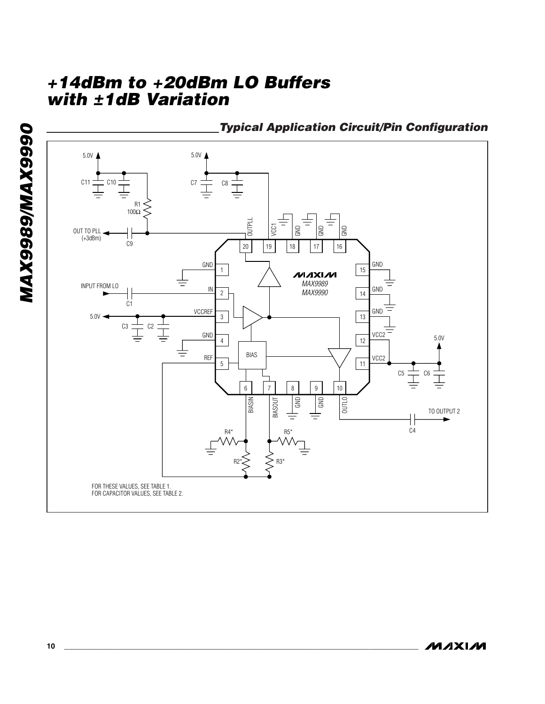

**MAXIM**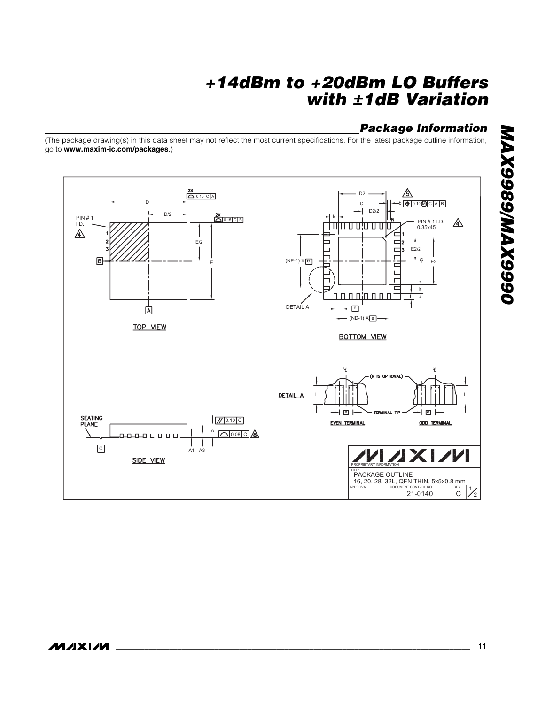## *Package Information*

(The package drawing(s) in this data sheet may not reflect the most current specifications. For the latest package outline information, go to **www.maxim-ic.com/packages**.)